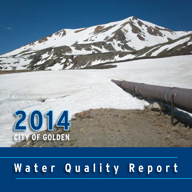

# **Water Quality Report**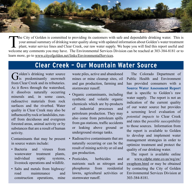

The City of Golden is committed to providing its customers with safe and dependable drinking water. This is your annual summary of drinking water quality along with updated information about Golden's water treatment **L** plant, water service lines and Clear Creek, our raw water supply. We hope you will find this report useful and welcome any comments you may have. The Environmental Services Division can be reached at 303-384-8181 or to learn more, go to www.cityofgolden.net/links/EnvironmentalServices.

### **Clear Creek – Our Mountain Water Source**

Golden's drinking water source<br>
is predominantly snowmelt from Clear Creek and its tributaries. As it flows through the watershed, it dissolves naturally occurring minerals and, in some cases, radioactive materials from rock surfaces and the riverbed. Water quality in Clear Creek may also be influenced by rock or landslides, runoff from deciduous and evergreen forested areas, animal activity or by substances that are a result of human activity.

Contaminants that may be present in source waters include:

- Bacteria and viruses from wastewater treatment plants, individual septic systems, livestock operations and wildlife.
- Salts and metals from highway/ road maintenance and construction operations, mine

waste piles, active and abandoned mines or mine cleanup sites, oil and gas production, farming and stormwater runoff.

- Organic contaminants, including synthetic and volatile organic chemicals which are by-products of industrial processes and petroleum production. They may also come from petroleum spills from gas stations, traffic accidents or leaking above ground or underground storage tanks.
- Radioactive contaminants that are naturally occurring or can be the result of mining activity or oil and gas production.
- Pesticides, herbicides and nutrients such as nitrogen and phosphorus from residential lawns, agricultural activities or stormwater runoff.

The Colorado Department of Public Health and Environment has provided consumers with a **Source Water Assessment Report** that is specific to Golden's raw water supply. The report is not an indication of the current quality of our water source but provides a screening level evaluation of *potential impacts* to Clear Creek and rates the *possible susceptibility* to those sources. Information from the report is available to Golden to develop and implement water management strategies in order to optimize treatment and protect the quality of our drinking water.

The report is available online at www.cdphe.state.co.us/wq/sw/ swaphom.html or may be obtained by contacting the City of Golden Environmental Services Division at 303-384-8181.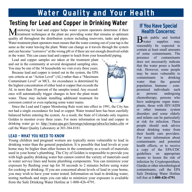## **Water Quality and Your Health**

# **Testing for Lead and Copper in Drinking Water If You Have Special**

Monitoring for lead and copper helps water system operators determine if their treatment techniques at the plant are providing water that remains at optimum quality all throughout the distribution system including reservoirs, tanks and pipes. Water treatment plant operators must ensure that the water coming out of your tap is the same as the water leaving the plant. Water can change as it travels through the system and can become "corrosive" at the wrong pH or if there are not enough dissolved solids in the water. This can cause lead and copper to leach from your household piping.

Lead and copper samples are taken at the treatment plant and out in the community at several designated sampling sites. You may be one of the 34 households we visit every three years.

Because lead and copper is tested out in the system, the EPA sets criteria at an "Action Level" (AL) rather than a "Maximum Contaminant Level" or MCL. An exceedance is determined by the highest concentration of either lead or copper that exceeds the AL in more than 10 percent of the samples tested. Any exceedence will automatically trigger changes in how the plant treats water. These may include installing additional treatment for corrosion control or even replacing some water mains.



Since the Lead and Copper Monitoring Rule went into effect in 1991, the City has not had a single exceedance for lead or copper. Water treated here has been carefully balanced before entering the system. As a result, the State of Colorado only requires Golden to monitor every three years. For more information on lead and copper in drinking water go to: http://water.epa.gov/lawsregs/rulesregs/sdwa/lcr/index.cfm or call the Water Quality Laboratory at 303-384-8181.

#### **LEAD – WHAT YOU NEED TO KNOW**

Young children and pregnant women are typically more vulnerable to lead in drinking water than the general population. It is possible that lead levels at your home may be higher than other homes in the community as a result of materials used in your home's plumbing. The City of Golden is responsible to provide you with high quality drinking water but cannot control the variety of materials used in water service lines and home plumbing components. You can minimize your exposure by flushing your tap for 30 seconds to 2 minutes before using water for cooking or drinking. If you are concerned about levels of lead in your home, you may wish to have your water tested. Information on lead in drinking water, testing methods and steps you can take to minimize your exposure is available from the Safe Drinking Water Hotline at 1-800-426-4791.

# **Health Concerns:**

 $B<sub>water</sub>$  supplies may supplies reasonably be expected to contain at least small amounts of some contaminants. The presence of contaminants does not necessarily indicate that the water poses a health risk. However, some people may be more vulnerable to contaminants in drinking water than the general population. Immuno - compromised individuals such as persons undergoing chemotherapy, persons who have undergone organ transplants, those with HIV/AIDS or other immune system disorders and some elderly and infants can be particularly at risk for infection. These people should seek advice about drinking water from their health care providers. For more information about contaminants and potential health effects, or to receive a copy of the EPA/CDC guidelines on appropriate means to lessen the risk of infection by Cryptosporidium, Giardia or other microbiological contaminants, call the EPA Safe Drinking Water Hotline toll free at **1-800-426-4791**.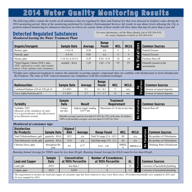## **2014 Water Quality Monitoring Results**

*The following tables contain the results of all substances that are regulated by State and Federal law that were detected in Golden's water during the 2014 monitoring period. Most of the monitoring performed by Golden's Environmental Services lab results in non detect levels allowing the City to perform reduced monitoring for substances that pose no risk to our system. Some of those results will show dates that may be more than a year old.*

#### **Detected Regulated Substances** *Monitored leaving the Water Treatment Plant*

z2

*For more information, call the Water Quality Lab at 303-384-8181. Or contact Stephanie Crabtree at 303-384-8184.*

| Organic/Inorganic                                                                                                       | <b>Sample Date</b> | Average | Range<br><b>Found</b> | <b>MCL</b> | <b>MCLG</b> | S<br>$\overline{\phantom{a}}$ | <b>Common Sources</b>                   |
|-------------------------------------------------------------------------------------------------------------------------|--------------------|---------|-----------------------|------------|-------------|-------------------------------|-----------------------------------------|
| Barium, ppm                                                                                                             | $5 - 16 - 14$      | 0.28    | n/a                   | ◠          |             | o<br>$\sim$<br>æ              | Natural Erosion                         |
| Fluoride, ppm                                                                                                           | $4 - 4 - 14$       | 0.66    | n/a                   | 4          |             | $\mathbf{r}$                  | Natural Erosion                         |
| Nitrate, ppm                                                                                                            | $1-16-14.4-14-14$  | 0.30    | $0.24 - 0.35$         | 10         | 10          | $\bullet$<br>i                | Fertilizer Run-off                      |
| *Total Organic Carbon (TOC), ratio<br>(TOC, reported as a ratio, must remain<br>above 1.0 for optimal water treatment.) | monthly - RAA      | 1.29    | $1.02 - 1.76$         | <b>TT</b>  | <b>TT</b>   | O<br>N                        | Naturally present in the<br>environment |

*\*Golden uses enhanced treatment to remove the naturally occurring organic compounds that can combine with disinfectants to form Disinfectant By-Products. The ratio of TOC removal measures our compliance with this treatment technique.*

| <b>Radionuclides</b>                 | <b>Sample Date</b> | Average | Range<br>Found | <b>MCL</b> | <b>MCLG</b> | S<br>$\bullet$              | <b>Common Sources</b>       |
|--------------------------------------|--------------------|---------|----------------|------------|-------------|-----------------------------|-----------------------------|
| Combined Radium (226 $& 228$ ) pCi/L | $2 - 3 - 2011$     | 0.1     | $0.1 - 0.1$    |            | n/a         | $\geq$ $\circ$<br>$\bullet$ | Erosion of natural deposits |
| Gross Alpha Particles pCi/L          | $2 - 3 - 2011$     | 2.7     | $2.7 - 2.7$    | 15         | n/a         |                             | Erosion of natural deposits |

| <b>Turbidity</b>                                                                                       | <b>Sample</b><br><b>Date</b> | <b>Result</b>                                                                                                                               | <b>Treatment</b><br>Requirement | S<br>ï<br><u>ِ مي</u> | <b>Common Sources</b> |
|--------------------------------------------------------------------------------------------------------|------------------------------|---------------------------------------------------------------------------------------------------------------------------------------------|---------------------------------|-----------------------|-----------------------|
| Turbidity, NTU<br>(Measure of the cloudiness of water.)<br>It is a good indicator of the effectiveness | 6 times<br>per day           | highest single reading<br>$0.877$ ntu                                                                                                       | Maximum of 1.0 ntu at any time  | $\bullet$             | Natural Run-off       |
| of our filtration system)                                                                              |                              | Monthly averages must be less than 0.3 NTU for 95% of the time. In Golden,<br>100% of all monthly averages were less than 0.3 NTU for 2014. | ٤                               |                       |                       |

#### *Monitored at consumer taps*

| <b>Disinfection</b><br><b>By-Products</b> | <b>Sample Date</b>     | <b>Highest</b><br><b>RAA</b> | Average | <b>Range Found</b>           | <b>MCL</b>  | <b>MCLG</b> | $\overline{5}$    | <b>Common Sources</b>       |
|-------------------------------------------|------------------------|------------------------------|---------|------------------------------|-------------|-------------|-------------------|-----------------------------|
| Total Trihalomethanes, ppb                | quarterly - RAA        | 45.5                         | n/a     | Total Tri range 21.6 - 62.5  | 80          | n/a         | <b>CONTRACTOR</b> | By-product of Chlorination  |
| Total Haloacetic Acids, ppb               | quarterly - RAA        | 15.6                         | n/a     | Total Halo range 5.91 - 21.2 | 60          | n/a         | $\bullet$         | By-product of Chlorination  |
| Chlorine (free), ppm                      | throughout the<br>vear | n/a                          | 0.77    | $0.53 - 1.01$                | <b>MRDL</b> | MRDLG $4$   | $\mathbf{S}$      | Drinking Water Disinfectant |

*Running Annual Average for THM's must be less than 80 ppb. Running Annual Average for HAA's must be less than 60 ppb.* 

| <b>Lead and Copper</b> | Sample<br><b>Date</b> | <b>Concentration</b><br>at 90th Percentile | Number of Exceedences<br>at 90th Percentile | <b>AL</b> | ピ<br>$\circ$<br>Ф | <b>Common Sources</b>           |
|------------------------|-----------------------|--------------------------------------------|---------------------------------------------|-----------|-------------------|---------------------------------|
| Lead, ppb              | 2014                  | less than 1                                |                                             |           | ٥.                | Corrosion of household plumbing |
| Copper, ppm            | 2014                  | 0.058                                      |                                             |           | ٥N                | Corrosion of household plumbing |
| ____                   |                       |                                            |                                             | .         |                   | .                               |

*The requirement to monitor for lead and copper at consumer taps has been reduced to once every three years. 30 Golden households were sampled in 2011 and 34 were sampled in 2014.*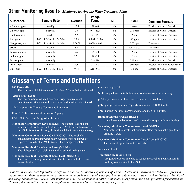### **Other Monitoring Results** *Monitored leaving the Water Treatment Plant*

| <b>Substance</b> | <b>Sample Date</b>         | Average | Range<br><b>Found</b> | <b>MCL</b> | <b>SMCL</b>    | <b>Common Sources</b>              |
|------------------|----------------------------|---------|-----------------------|------------|----------------|------------------------------------|
| Alkalinity, ppm  | weekly                     | 37.5    | $21 - 48$             | n/a        | none           | <b>Erosion of Natural Deposits</b> |
| Chloride, ppm    | quarterly                  | 26      | $9.8 - 43.4$          | n/a        | $250$ ppm      | <b>Erosion of Natural Deposits</b> |
| Hardness, ppm    | weekly                     | 97      | $35 - 144$            | n/a        | None           | <b>Erosion of Natural Deposits</b> |
| Iron, ppm        | 1-22-14, 5-16-14, 12-16-14 | 0.006   | $< 0.004 - 0.006$     | n/a        | $0.3$ ppm      | <b>Erosion of Natural Deposits</b> |
| Manganese, ppm   | 1-22-14, 5-16-14, 12-16-14 | 0.0071  | $0.0014 - 0.01$       | n/a        | $0.05$ ppm     | Treatment                          |
| pH, su           | weekly                     | 8.5     | $8.1 - 8.8$           | n/a        | $6.5 - 8.5$ su | Treatment                          |
| Potassium, ppm   | quarterly                  | 2.9     | $1.6 - 3.8$           | n/a        | None           | <b>Erosion of Natural Deposits</b> |
| Sodium, ppm      | quarterly                  | 22.1    | $12 - 34$             | n/a        | None           | <b>Erosion of Natural Deposits</b> |
| Sulfate, ppm     | quarterly                  | 81      | $38 - 116$            | n/a        | $250$ ppm      | Erosion of Natural Deposits        |
| (TDS), ppm       | monthly                    | 176     | 77 - 245              | n/a        | $500$ ppm      | Erosion and Storm Water Runoff     |
| Zinc, ppm        | 1-22-14, 5-16-14, 12-16-14 | 0.13    | $0.11 - 0.15$         | n/a        | 5 ppm          | <b>Erosion of Natural Deposits</b> |

### **Glossary of Terms and Definitions**

**90th Percentile:**

The point at which 90 percent of all values fall at or below this level.

- **Action Limit (AL):**
	- The concentration, which if exceeded, triggers a treatment modification. 90 percent of households tested must be below the AL.
- CDC: Centers for Disease Control and Prevention
- EPA: U.S. Environmental Protection Agency
- FDA: U.S. Food and Drug Administration
- **Maximum Contaminant Level (MCL):** The highest level of a contaminant that is allowed in drinking water. MCLs are set as close to the MCLGs as feasible using the best available treatment technology.
- **Maximum Contaminant Level Goal (MCLG):** The level of a contaminant in drinking water below which there is no known or expected risk to health. MCLGs allow for a margin of safety.
- **Maximum Residual Disinfectant Level (MRDL):**  The highest level of a disinfectant allowed in drinking water.
- **Maximum Residual Disinfectant Level Goal (MRDLG):**  The level of drinking water disinfectant below which there is no known health risk.

**n/a:** - not applicable

- **NTU:** nephelometric turbidity unit, used to measure water clarity.
- **pCi/L:** picocuries per liter, used to measure radioactivity.
- **ppb:** part per billion corresponds to one inch in 16,000 miles.

**ppm:** part per million - corresponds to one inch in 16 miles.

**Running Annual Average (RAA):** 

Annual average based on weekly, monthly or quarterly monitoring.

**Secondary Maximum Contaminant Level (SMCL):** Non-enforceable levels that primarily affect the aesthetic quality of

**Secondary Maximum Contaminant Level Goal (SMCLG):** The desirable goal, but not enforceable.

**su:** standard units

**Treatment Technique (TT):** 

drinking water.

A required process intended to reduce the level of a contaminant in drinking water instead of a MCL.

*In order to ensure that tap water is safe to drink, the Colorado Department of Public Health and Environment (CDPHE) prescribes regulations that limit the amount of certain contaminants in the treated water provided by public water systems such as Golden's. The Food and Drug Administration (FDA) sets similar limits for contaminants in bottled water that must provide the same protection for consumers. However, the regulations and testing requirements are much less stringent than for tap water.*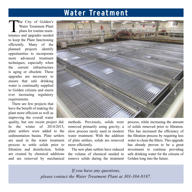### **Water Treatment**

The City of Golden's<br>Water Treatment Plant<br>plans for routine main-<br>tenance and ungrades needed Water Treatment Plant plans for routine maintenance and upgrades needed to keep the Plant functioning efficiently. Many of the planned projects identify opportunities to incorporate more advanced treatment techniques; especially when the current infrastructure is aging or obsolete. These upgrades are necessary to ensure that safe drinking water is continually supplied to Golden citizens and meets ever increasing regulatory requirements.

There are few projects that have the benefit of making the plant more efficient as well as improving the overall water

quality, but one recent project did. In the winter of  $2014/2015$ plate settlers were added to the sedimentation basins. Plate settlers are used in the water treatment process to settle solids prior to filtration and disinfection. Solids are created by chemical additions and are removed by mechanical



methods. Previously, solids were removed primarily using gravity; a slow process rarely used in modern water treatment. With the addition of plate settlers, solids are removed more efficiently.

The new plate settlers have reduced the volume of chemical needed to remove solids during the treatment process, while increasing the amount of solids removed prior to filtration. This has increased the efficiency of the filtration process by requiring less water to clean the filters. This upgrade has already proven to be a great investment to continue providing safe drinking water for the citizens of Golden long into the future.

*If you have any questions, please contact the Water Treatment Plant at 303-384-8187.*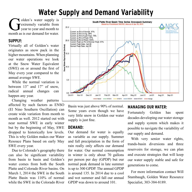## **Water Supply and Demand Variability**

**Golden's water supply is**<br>rextremely variable from<br>year to year and month to<br>month as is our demand for water extremely variable from year to year and month to month as is our demand for water.

#### **SUPPLY:**

Virtually all of Golden's water originates as snow pack in the higher mountains. When planning our water operations we look at the Snow Water Equivalent (SWE) on or around the first of May every year compared to the annual average SWE.

While the normal variation is between 13" and 17" of snow, radical annual changes can happen any year.

Changing weather patterns affected by such factors as ENSO (El Nino Southern Oscillation) can create wide variation from month to month as well. 2012 started out with near normal SWE in early winter but by the beginning of May, SWE dropped to historically low levels. This is why Golden makes our Water Resouce Plans based on early May SWE every year.

Due to Colorado's geography there can also be significant variability from basin to basin and Golden's water comes from both the South Platte and Colorado River basins. On March 1, 2014 the SWE in the South Platte Basin was 110% of normal while the SWE in the Colorado River



Basin was just above 90% of normal. Some years even though we have very little snow in Golden our water supply is just fine.

#### **DEMAND:**

Our demand for water is equally as variable as our supply. Summer and fall precipitation in the form of rain really only affects our demand for water. Our normal consumption in winter is only about 70 gallons per person per day (GPDP) but our normal peak demand in late summer is up to 300 GPDP. The annual GPDP is around 135. In 2014 due to a cool and wet summer and fall our annual GPDP was down to around 101.

### **MANAGING OUR WATER:**

Fortunately Golden has spent decades developing our water storage and supply system which makes it possible to navigate the variability of our supply and demand.

With very senior water rights, trands-basin diversions and three reservoirs for storage, we can plan and execute strategies that will keep our water supply stable and safe for generations to come.

For more information contact Will Stambaugh, Golden Water Resource Specialist, 303-384-8189.